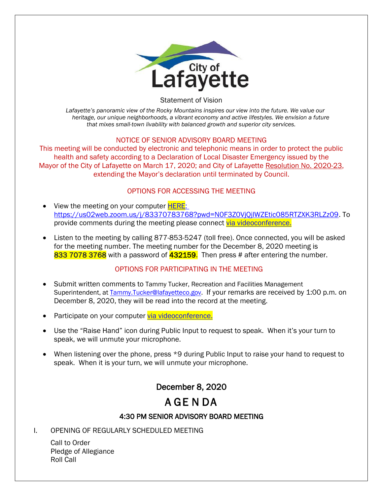

Statement of Vision

*Lafayette's panoramic view of the Rocky Mountains inspires our view into the future. We value our heritage, our unique neighborhoods, a vibrant economy and active lifestyles. We envision a future that mixes small-town livability with balanced growth and superior city services.*

### NOTICE OF SENIOR ADVISORY BOARD MEETING

This meeting will be conducted by electronic and telephonic means in order to protect the public health and safety according to a Declaration of Local Disaster Emergency issued by the Mayor of the City of Lafayette on March 17, 2020; and City of Lafayette Resolution No. 2020-23, extending the Mayor's declaration until terminated by Council.

### OPTIONS FOR ACCESSING THE MEETING

- View the meeting on your computer **HERE**: https://us02web.zoom.us/j/83370783768?pwd=N0F3Z0VjQjlWZEtic085RTZXK3RLZz09. To provide comments during the meeting please connect [via videoconference.](about:blank)
- Listen to the meeting by calling 877-853-5247 (toll free). Once connected, you will be asked for the meeting number. The meeting number for the December 8, 2020 meeting is 833 7078 3768 with a password of 432159. Then press # after entering the number.

### OPTIONS FOR PARTICIPATING IN THE MEETING

- Submit written comments to Tammy Tucker, Recreation and Facilities Management Superintendent, at Tammy.Tucker@lafayetteco.gov. If your remarks are received by 1:00 p.m. on December 8, 2020, they will be read into the record at the meeting.
- Participate on your computer [via videoconference.](about:blank)
- Use the "Raise Hand" icon during Public Input to request to speak. When it's your turn to speak, we will unmute your microphone.
- When listening over the phone, press \*9 during Public Input to raise your hand to request to speak. When it is your turn, we will unmute your microphone.

# December 8, 2020

# A GE N DA

## 4:30 PM SENIOR ADVISORY BOARD MEETING

I. OPENING OF REGULARLY SCHEDULED MEETING

Call to Order Pledge of Allegiance Roll Call